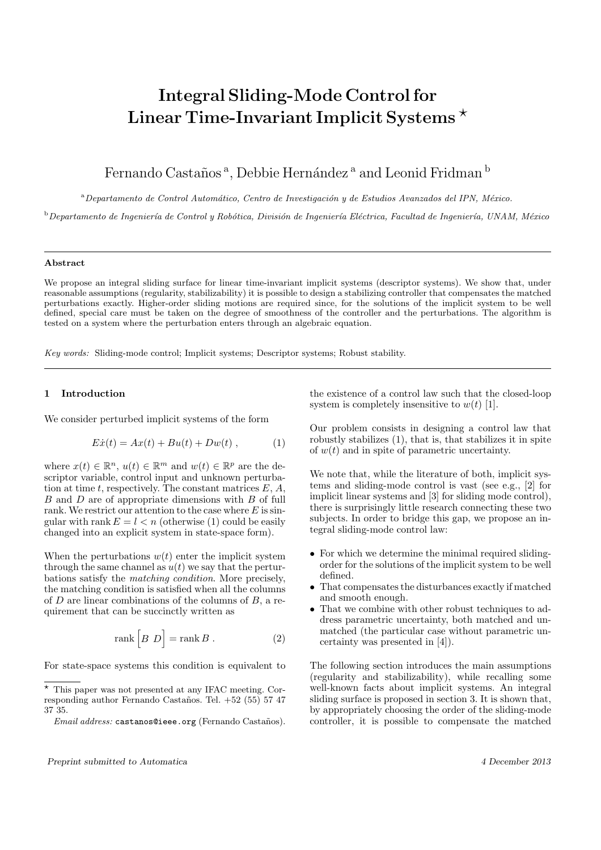# Integral Sliding-Mode Control for Linear Time-Invariant Implicit Systems  $\star$

# Fernando Castaños<sup>a</sup>, Debbie Hernández <sup>a</sup> and Leonid Fridman <sup>b</sup>

<sup>a</sup>Departamento de Control Automático, Centro de Investigación y de Estudios Avanzados del IPN, México.

<sup>b</sup>Departamento de Ingeniería de Control y Robótica, División de Ingeniería Eléctrica, Facultad de Ingeniería, UNAM, México

## Abstract

We propose an integral sliding surface for linear time-invariant implicit systems (descriptor systems). We show that, under reasonable assumptions (regularity, stabilizability) it is possible to design a stabilizing controller that compensates the matched perturbations exactly. Higher-order sliding motions are required since, for the solutions of the implicit system to be well defined, special care must be taken on the degree of smoothness of the controller and the perturbations. The algorithm is tested on a system where the perturbation enters through an algebraic equation.

*Key words:* Sliding-mode control; Implicit systems; Descriptor systems; Robust stability.

# 1 Introduction

We consider perturbed implicit systems of the form

$$
E\dot{x}(t) = Ax(t) + Bu(t) + Dw(t) , \qquad (1)
$$

where  $x(t) \in \mathbb{R}^n$ ,  $u(t) \in \mathbb{R}^m$  and  $w(t) \in \mathbb{R}^p$  are the descriptor variable, control input and unknown perturbation at time t, respectively. The constant matrices  $E, A$ ,  $B$  and  $D$  are of appropriate dimensions with  $B$  of full rank. We restrict our attention to the case where  $E$  is singular with rank  $E = l < n$  (otherwise (1) could be easily changed into an explicit system in state-space form).

When the perturbations  $w(t)$  enter the implicit system through the same channel as  $u(t)$  we say that the perturbations satisfy the matching condition. More precisely, the matching condition is satisfied when all the columns of  $D$  are linear combinations of the columns of  $B$ , a requirement that can be succinctly written as

$$
rank [B D] = rank B . \qquad (2)
$$

For state-space systems this condition is equivalent to

the existence of a control law such that the closed-loop system is completely insensitive to  $w(t)$  [1].

Our problem consists in designing a control law that robustly stabilizes (1), that is, that stabilizes it in spite of  $w(t)$  and in spite of parametric uncertainty.

We note that, while the literature of both, implicit systems and sliding-mode control is vast (see e.g., [2] for implicit linear systems and [3] for sliding mode control), there is surprisingly little research connecting these two subjects. In order to bridge this gap, we propose an integral sliding-mode control law:

- For which we determine the minimal required slidingorder for the solutions of the implicit system to be well defined.
- That compensates the disturbances exactly if matched and smooth enough.
- That we combine with other robust techniques to address parametric uncertainty, both matched and unmatched (the particular case without parametric uncertainty was presented in [4]).

The following section introduces the main assumptions (regularity and stabilizability), while recalling some well-known facts about implicit systems. An integral sliding surface is proposed in section 3. It is shown that, by appropriately choosing the order of the sliding-mode controller, it is possible to compensate the matched

 $\star$  This paper was not presented at any IFAC meeting. Corresponding author Fernando Castaños. Tel.  $+52$  (55) 57 47 37 35.

*Email address:* castanos@ieee.org (Fernando Castaños).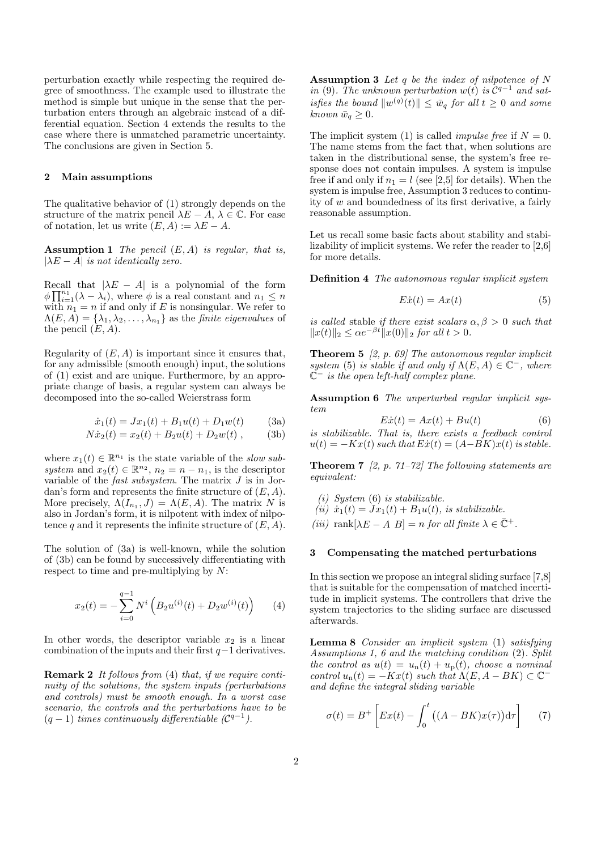perturbation exactly while respecting the required degree of smoothness. The example used to illustrate the method is simple but unique in the sense that the perturbation enters through an algebraic instead of a differential equation. Section 4 extends the results to the case where there is unmatched parametric uncertainty. The conclusions are given in Section 5.

#### 2 Main assumptions

The qualitative behavior of (1) strongly depends on the structure of the matrix pencil  $\lambda E - A$ ,  $\lambda \in \mathbb{C}$ . For ease of notation, let us write  $(E, A) := \lambda E - A$ .

**Assumption 1** The pencil  $(E, A)$  is regular, that is,  $|\lambda E - A|$  is not identically zero.

Recall that  $|\lambda E - A|$  is a polynomial of the form  $\phi \prod_{i=1}^{n_1} (\lambda - \lambda_i)$ , where  $\phi$  is a real constant and  $n_1 \leq n$ with  $n_1 = n$  if and only if E is nonsingular. We refer to  $\Lambda(E,A)=\{\lambda_1,\lambda_2,\ldots,\lambda_{n_1}\}$  as the *finite eigenvalues* of the pencil  $(E, A)$ .

Regularity of  $(E, A)$  is important since it ensures that, for any admissible (smooth enough) input, the solutions of (1) exist and are unique. Furthermore, by an appropriate change of basis, a regular system can always be decomposed into the so-called Weierstrass form

$$
\dot{x}_1(t) = Jx_1(t) + B_1u(t) + D_1w(t) \tag{3a}
$$

$$
N\dot{x}_2(t) = x_2(t) + B_2u(t) + D_2w(t) , \qquad (3b)
$$

where  $x_1(t) \in \mathbb{R}^{n_1}$  is the state variable of the slow subsystem and  $x_2(t) \in \mathbb{R}^{n_2}$ ,  $n_2 = n - n_1$ , is the descriptor variable of the *fast subsystem*. The matrix  $J$  is in Jordan's form and represents the finite structure of  $(E, A)$ . More precisely,  $\Lambda(I_{n_1}, J) = \Lambda(E, A)$ . The matrix N is also in Jordan's form, it is nilpotent with index of nilpotence q and it represents the infinite structure of  $(E, A)$ .

The solution of (3a) is well-known, while the solution of (3b) can be found by successively differentiating with respect to time and pre-multiplying by N:

$$
x_2(t) = -\sum_{i=0}^{q-1} N^i \left( B_2 u^{(i)}(t) + D_2 w^{(i)}(t) \right) \tag{4}
$$

In other words, the descriptor variable  $x_2$  is a linear combination of the inputs and their first  $q-1$  derivatives.

**Remark 2** It follows from (4) that, if we require continuity of the solutions, the system inputs (perturbations and controls) must be smooth enough. In a worst case scenario, the controls and the perturbations have to be  $(q-1)$  times continuously differentiable  $(\mathcal{C}^{q-1})$ .

**Assumption 3** Let q be the index of nilpotence of  $N$ in (9). The unknown perturbation  $w(t)$  is  $\mathcal{C}^{q-1}$  and satisfies the bound  $||w^{(q)}(t)|| \leq \bar{w}_q$  for all  $t \geq 0$  and some known  $\bar{w}_q \geq 0$ .

The implicit system (1) is called *impulse free* if  $N = 0$ . The name stems from the fact that, when solutions are taken in the distributional sense, the system's free response does not contain impulses. A system is impulse free if and only if  $n_1 = l$  (see [2,5] for details). When the system is impulse free, Assumption 3 reduces to continuity of w and boundedness of its first derivative, a fairly reasonable assumption.

Let us recall some basic facts about stability and stabilizability of implicit systems. We refer the reader to [2,6] for more details.

Definition 4 The autonomous regular implicit system

$$
E\dot{x}(t) = Ax(t) \tag{5}
$$

is called stable if there exist scalars  $\alpha, \beta > 0$  such that  $||x(t)||_2 \leq \alpha e^{-\beta t} ||x(0)||_2$  for all  $t > 0$ .

**Theorem 5** [2, p. 69] The autonomous regular implicit system (5) is stable if and only if  $\Lambda(E, A) \in \mathbb{C}^-$ , where  $\check{\mathbb{C}}^-$  is the open left-half complex plane.

Assumption 6 The unperturbed regular implicit system

$$
E\dot{x}(t) = Ax(t) + Bu(t)
$$
\n(6)

is stabilizable. That is, there exists a feedback control  $u(t) = -Kx(t)$  such that  $E\dot{x}(t) = (A-BK)x(t)$  is stable.

**Theorem 7** [2, p. 71–72] The following statements are equivalent:

 $(i)$  System  $(6)$  is stabilizable.

(ii)  $\dot{x}_1(t) = Jx_1(t) + B_1u(t)$ , is stabilizable.

(iii) rank $[\lambda E - A \, B] = n$  for all finite  $\lambda \in \overline{\mathbb{C}}^+$ .

# 3 Compensating the matched perturbations

In this section we propose an integral sliding surface [7,8] that is suitable for the compensation of matched incertitude in implicit systems. The controllers that drive the system trajectories to the sliding surface are discussed afterwards.

Lemma 8 Consider an implicit system (1) satisfying Assumptions 1, 6 and the matching condition (2). Split the control as  $u(t) = u_n(t) + u_p(t)$ , choose a nominal control  $u_n(t) = -Kx(t)$  such that  $\Lambda(E, A - BK) \subset \mathbb{C}^$ and define the integral sliding variable

$$
\sigma(t) = B^+ \left[ Ex(t) - \int_0^t \left( (A - BK)x(\tau) \right) d\tau \right] \tag{7}
$$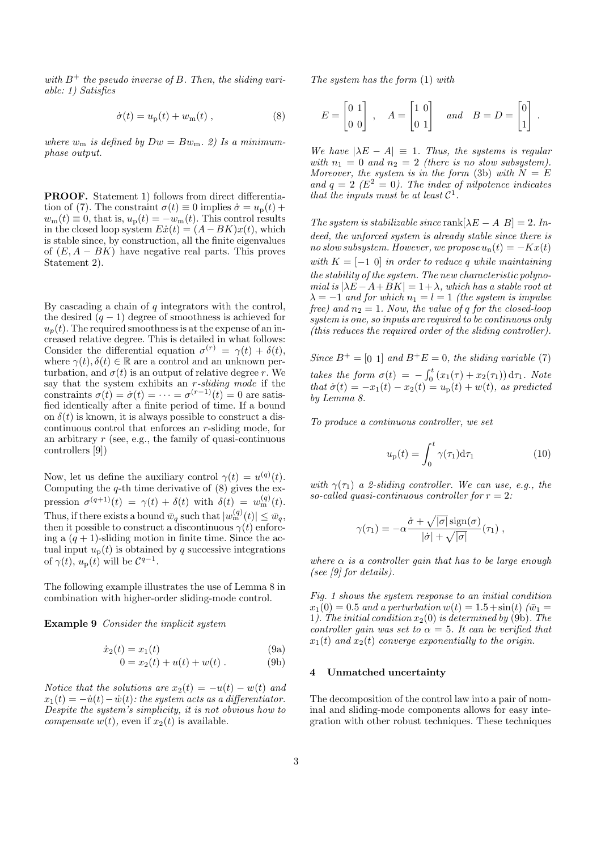with  $B^+$  the pseudo inverse of B. Then, the sliding variable: 1) Satisfies

$$
\dot{\sigma}(t) = u_{\rm p}(t) + w_{\rm m}(t) , \qquad (8)
$$

where  $w_m$  is defined by  $Dw = Bw_m$ . 2) Is a minimumphase output.

PROOF. Statement 1) follows from direct differentiation of (7). The constraint  $\sigma(t) \equiv 0$  implies  $\dot{\sigma} = u_{\rm p}(t) +$  $w_m(t) \equiv 0$ , that is,  $u_p(t) = -w_m(t)$ . This control results in the closed loop system  $Ex(t) = (A - BK)x(t)$ , which is stable since, by construction, all the finite eigenvalues of  $(E, A - BK)$  have negative real parts. This proves Statement 2).

By cascading a chain of  $q$  integrators with the control, the desired  $(q - 1)$  degree of smoothness is achieved for  $u_n(t)$ . The required smoothness is at the expense of an increased relative degree. This is detailed in what follows: Consider the differential equation  $\sigma^{(r)} = \gamma(t) + \delta(t)$ , where  $\gamma(t), \delta(t) \in \mathbb{R}$  are a control and an unknown perturbation, and  $\sigma(t)$  is an output of relative degree r. We say that the system exhibits an r-sliding mode if the constraints  $\sigma(t) = \dot{\sigma}(t) = \cdots = \sigma^{(r-1)}(t) = 0$  are satisfied identically after a finite period of time. If a bound on  $\delta(t)$  is known, it is always possible to construct a discontinuous control that enforces an r-sliding mode, for an arbitrary  $r$  (see, e.g., the family of quasi-continuous controllers [9])

Now, let us define the auxiliary control  $\gamma(t) = u^{(q)}(t)$ . Computing the  $q$ -th time derivative of  $(8)$  gives the expression  $\sigma^{(q+1)}(t) = \gamma(t) + \delta(t)$  with  $\delta(t) = w_{\text{m}}^{(q)}(t)$ . Thus, if there exists a bound  $\bar{w}_q$  such that  $|w_{\text{m}}^{(q)}(t)| \leq \bar{w}_q$ , then it possible to construct a discontinuous  $\gamma(t)$  enforcing a  $(q + 1)$ -sliding motion in finite time. Since the actual input  $u_p(t)$  is obtained by q successive integrations of  $\gamma(t)$ ,  $u_{\rm p}(t)$  will be  $C^{q-1}$ .

The following example illustrates the use of Lemma 8 in combination with higher-order sliding-mode control.

Example 9 Consider the implicit system

$$
\dot{x}_2(t) = x_1(t) \tag{9a}
$$

$$
0 = x_2(t) + u(t) + w(t) . \tag{9b}
$$

Notice that the solutions are  $x_2(t) = -u(t) - w(t)$  and  $x_1(t) = -\dot{u}(t) - \dot{w}(t)$ : the system acts as a differentiator. Despite the system's simplicity, it is not obvious how to *compensate*  $w(t)$ , even if  $x_2(t)$  is available.

The system has the form (1) with

$$
E = \begin{bmatrix} 0 & 1 \\ 0 & 0 \end{bmatrix} , \quad A = \begin{bmatrix} 1 & 0 \\ 0 & 1 \end{bmatrix} \quad and \quad B = D = \begin{bmatrix} 0 \\ 1 \end{bmatrix} .
$$

We have  $|\lambda E - A| \equiv 1$ . Thus, the systems is regular with  $n_1 = 0$  and  $n_2 = 2$  (there is no slow subsystem). Moreover, the system is in the form (3b) with  $N = E$ and  $q = 2$  ( $E^2 = 0$ ). The index of nilpotence indicates that the inputs must be at least  $C^1$ .

The system is stabilizable since rank $[\lambda E - A \, B] = 2$ . Indeed, the unforced system is already stable since there is no slow subsystem. However, we propose  $u_n(t) = -Kx(t)$ with  $K = [-1 \ 0]$  in order to reduce q while maintaining the stability of the system. The new characteristic polynomial is  $|\lambda E - A + BK| = 1 + \lambda$ , which has a stable root at  $\lambda = -1$  and for which  $n_1 = l = 1$  (the system is impulse free) and  $n_2 = 1$ . Now, the value of q for the closed-loop system is one, so inputs are required to be continuous only (this reduces the required order of the sliding controller).

Since  $B^+ = [0 \ 1]$  and  $B^+E = 0$ , the sliding variable (7) takes the form  $\sigma(t) = -\int_0^t (x_1(\tau) + x_2(\tau_1)) d\tau_1$ . Note that  $\dot{\sigma}(t) = -x_1(t) - x_2(t) = u_p(t) + w(t)$ , as predicted by Lemma 8.

To produce a continuous controller, we set

$$
u_{\mathbf{p}}(t) = \int_0^t \gamma(\tau_1) d\tau_1 \tag{10}
$$

with  $\gamma(\tau_1)$  a 2-sliding controller. We can use, e.g., the so-called quasi-continuous controller for  $r = 2$ :

$$
\gamma(\tau_1) = -\alpha \frac{\dot{\sigma} + \sqrt{|\sigma|} \operatorname{sign}(\sigma)}{|\dot{\sigma}| + \sqrt{|\sigma|}} (\tau_1) ,
$$

where  $\alpha$  is a controller gain that has to be large enough (see [9] for details).

Fig. 1 shows the system response to an initial condition  $x_1(0) = 0.5$  and a perturbation  $w(t) = 1.5 + \sin(t)$  ( $\bar{w}_1 =$ 1). The initial condition  $x_2(0)$  is determined by (9b). The controller gain was set to  $\alpha = 5$ . It can be verified that  $x_1(t)$  and  $x_2(t)$  converge exponentially to the origin.

#### 4 Unmatched uncertainty

The decomposition of the control law into a pair of nominal and sliding-mode components allows for easy integration with other robust techniques. These techniques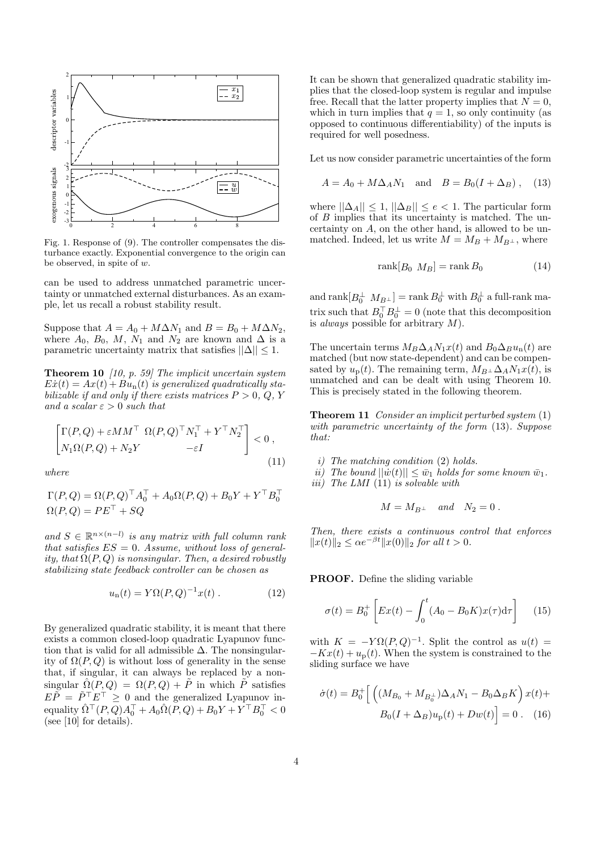

Fig. 1. Response of (9). The controller compensates the disturbance exactly. Exponential convergence to the origin can be observed, in spite of w.

can be used to address unmatched parametric uncertainty or unmatched external disturbances. As an example, let us recall a robust stability result.

Suppose that  $A = A_0 + M\Delta N_1$  and  $B = B_0 + M\Delta N_2$ , where  $A_0$ ,  $B_0$ ,  $M$ ,  $N_1$  and  $N_2$  are known and  $\Delta$  is a parametric uncertainty matrix that satisfies  $||\Delta|| \leq 1$ .

**Theorem 10** [10, p. 59] The implicit uncertain system  $E\dot{x}(t) = Ax(t) + Bu_n(t)$  is generalized quadratically stabilizable if and only if there exists matrices  $P > 0$ , Q, Y and a scalar  $\varepsilon > 0$  such that

$$
\begin{bmatrix}\n\Gamma(P,Q) + \varepsilon MM^\top \ \Omega(P,Q)^\top N_1^\top + Y^\top N_2^\top \\
N_1 \Omega(P,Q) + N_2 Y & -\varepsilon I\n\end{bmatrix} < 0 \,,\n\tag{11}
$$

where

$$
\Gamma(P,Q) = \Omega(P,Q)^\top A_0^\top + A_0 \Omega(P,Q) + B_0 Y + Y^\top B_0^\top
$$
  

$$
\Omega(P,Q) = PE^\top + SQ
$$

and  $S \in \mathbb{R}^{n \times (n-l)}$  is any matrix with full column rank that satisfies  $ES = 0$ . Assume, without loss of generality, that  $\Omega(P,Q)$  is nonsingular. Then, a desired robustly stabilizing state feedback controller can be chosen as

$$
u_n(t) = Y\Omega(P, Q)^{-1}x(t) . \qquad (12)
$$

By generalized quadratic stability, it is meant that there exists a common closed-loop quadratic Lyapunov function that is valid for all admissible  $\Delta$ . The nonsingularity of  $\Omega(P,Q)$  is without loss of generality in the sense that, if singular, it can always be replaced by a nonsingular  $\hat{\Omega}(P,Q) = \Omega(P,Q) + \tilde{P}$  in which  $\tilde{P}$  satisfies  $E\tilde{P} = \tilde{P}^\top E^\top \geq 0$  and the generalized Lyapunov inequality  $\hat{\Omega}^\top (P,Q) A_0^\top + A_0 \hat{\Omega}(P,Q) + B_0 Y + Y^\top B_0^\top < 0$ (see [10] for details).

It can be shown that generalized quadratic stability implies that the closed-loop system is regular and impulse free. Recall that the latter property implies that  $N = 0$ , which in turn implies that  $q = 1$ , so only continuity (as opposed to continuous differentiability) of the inputs is required for well posedness.

Let us now consider parametric uncertainties of the form

$$
A = A_0 + M\Delta_A N_1 \quad \text{and} \quad B = B_0(I + \Delta_B), \quad (13)
$$

where  $||\Delta_A|| \leq 1$ ,  $||\Delta_B|| \leq e < 1$ . The particular form of B implies that its uncertainty is matched. The uncertainty on A, on the other hand, is allowed to be unmatched. Indeed, let us write  $M = M_B + M_{B^{\perp}}$ , where

$$
rank[B_0 \t M_B] = rank B_0 \t (14)
$$

and  $\mathrm{rank}[B_0^\perp \ \, M_{B^\perp}] = \mathrm{rank}\, B_0^\perp$  with  $B_0^\perp$  a full-rank matrix such that  $B_0^{\top} B_0^{\perp} = 0$  (note that this decomposition is *always* possible for arbitrary  $M$ ).

The uncertain terms  $M_B\Delta_A N_1x(t)$  and  $B_0\Delta_B u_n(t)$  are matched (but now state-dependent) and can be compensated by  $u_p(t)$ . The remaining term,  $M_{B^{\perp}}\Delta_A N_1x(t)$ , is unmatched and can be dealt with using Theorem 10. This is precisely stated in the following theorem.

Theorem 11 Consider an implicit perturbed system (1) with parametric uncertainty of the form (13). Suppose that:

- i) The matching condition (2) holds.
- ii) The bound  $||\dot{w}(t)|| \le \bar{w}_1$  holds for some known  $\bar{w}_1$ .
- iii) The LMI (11) is solvable with

$$
M = M_{B^{\perp}} \quad and \quad N_2 = 0 \; .
$$

Then, there exists a continuous control that enforces  $||x(t)||_2 \leq \alpha e^{-\beta t} ||x(0)||_2$  for all  $t > 0$ .

PROOF. Define the sliding variable

$$
\sigma(t) = B_0^+ \left[ Ex(t) - \int_0^t (A_0 - B_0 K) x(\tau) d\tau \right]
$$
 (15)

with  $K = -Y\Omega(P,Q)^{-1}$ . Split the control as  $u(t) =$  $-Kx(t) + u_p(t)$ . When the system is constrained to the sliding surface we have

$$
\dot{\sigma}(t) = B_0^+ \left[ \left( (M_{B_0} + M_{B_0^{\perp}}) \Delta_A N_1 - B_0 \Delta_B K \right) x(t) + B_0 (I + \Delta_B) u_{\rm p}(t) + Dw(t) \right] = 0. \quad (16)
$$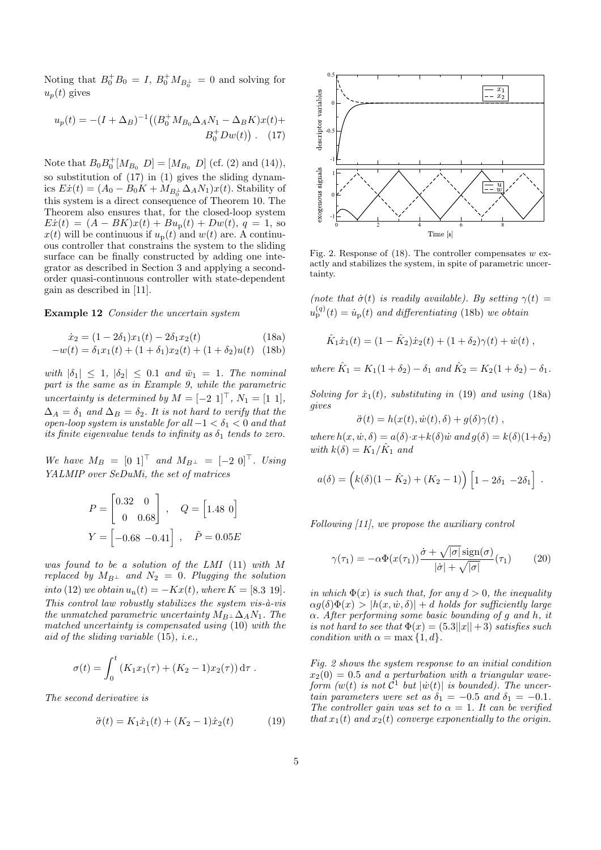Noting that  $B_0^{\dagger} B_0 = I$ ,  $B_0^{\dagger} M_{B_0^{\dagger}} = 0$  and solving for  $u_p(t)$  gives

$$
u_p(t) = -(I + \Delta_B)^{-1} ((B_0^+ M_{B_0} \Delta_A N_1 - \Delta_B K)x(t) + B_0^+ Dw(t)).
$$
 (17)

Note that  $B_0 B_0^+[M_{B_0} D] = [M_{B_0} D]$  (cf. (2) and (14)), so substitution of (17) in (1) gives the sliding dynamics  $E\dot{x}(t) = (A_0 - B_0K + M_{B_0^{\perp}}\Delta_A N_1)x(t)$ . Stability of this system is a direct consequence of Theorem 10. The Theorem also ensures that, for the closed-loop system  $E\dot{x}(t) = (A - BK)x(t) + Bu_{\rm p}(t) + Dw(t), q = 1$ , so  $x(t)$  will be continuous if  $u<sub>p</sub>(t)$  and  $w(t)$  are. A continuous controller that constrains the system to the sliding surface can be finally constructed by adding one integrator as described in Section 3 and applying a secondorder quasi-continuous controller with state-dependent gain as described in [11].

## Example 12 Consider the uncertain system

$$
\dot{x}_2 = (1 - 2\delta_1)x_1(t) - 2\delta_1x_2(t) \tag{18a}
$$

$$
-w(t) = \delta_1 x_1(t) + (1 + \delta_1) x_2(t) + (1 + \delta_2) u(t)
$$
 (18b)

with  $|\delta_1| \leq 1$ ,  $|\delta_2| \leq 0.1$  and  $\bar{w}_1 = 1$ . The nominal part is the same as in Example 9, while the parametric uncertainty is determined by  $M = [-2 \; 1]^{\top}, N_1 = [1 \; 1],$  $\Delta_A = \delta_1$  and  $\Delta_B = \delta_2$ . It is not hard to verify that the open-loop system is unstable for all  $-1 < \delta_1 < 0$  and that its finite eigenvalue tends to infinity as  $\delta_1$  tends to zero.

We have  $M_B = \begin{bmatrix} 0 & 1 \end{bmatrix}^\top$  and  $M_{B} = \begin{bmatrix} -2 & 0 \end{bmatrix}^\top$ . Using YALMIP over SeDuMi, the set of matrices

$$
P = \begin{bmatrix} 0.32 & 0 \\ 0 & 0.68 \end{bmatrix}, \quad Q = \begin{bmatrix} 1.48 & 0 \end{bmatrix}
$$

$$
Y = \begin{bmatrix} -0.68 & -0.41 \end{bmatrix}, \quad \tilde{P} = 0.05E
$$

was found to be a solution of the LMI (11) with M replaced by  $M_{B^{\perp}}$  and  $N_2 = 0$ . Plugging the solution into (12) we obtain  $u_n(t) = -Kx(t)$ , where  $K = [8.3 \ 19]$ . This control law robustly stabilizes the system vis- $\hat{a}$ -vis the unmatched parametric uncertainty  $M_{B^{\perp}} \Delta_A N_1$ . The matched uncertainty is compensated using (10) with the aid of the sliding variable (15), i.e.,

$$
\sigma(t) = \int_0^t (K_1 x_1(\tau) + (K_2 - 1)x_2(\tau)) d\tau.
$$

The second derivative is

$$
\ddot{\sigma}(t) = K_1 \dot{x}_1(t) + (K_2 - 1)\dot{x}_2(t) \tag{19}
$$



Fig. 2. Response of  $(18)$ . The controller compensates w exactly and stabilizes the system, in spite of parametric uncertainty.

(note that  $\dot{\sigma}(t)$  is readily available). By setting  $\gamma(t) =$  $u_{\rm p}^{(q)}(t) = \dot{u}_{\rm p}(t)$  and differentiating (18b) we obtain

$$
\hat{K}_1 \dot{x}_1(t) = (1 - \hat{K}_2) \dot{x}_2(t) + (1 + \delta_2) \gamma(t) + \dot{w}(t) ,
$$

where 
$$
\hat{K}_1 = K_1(1 + \delta_2) - \delta_1
$$
 and  $\hat{K}_2 = K_2(1 + \delta_2) - \delta_1$ .

Solving for  $\dot{x}_1(t)$ , substituting in (19) and using (18a) gives

$$
\ddot{\sigma}(t) = h(x(t), \dot{w}(t), \delta) + g(\delta)\gamma(t) ,
$$

where  $h(x, \dot{w}, \delta) = a(\delta) \cdot x + k(\delta) \dot{w}$  and  $q(\delta) = k(\delta)(1+\delta_2)$ with  $k(\delta) = K_1/\hat{K}_1$  and

$$
a(\delta) = (k(\delta)(1 - \hat{K}_2) + (K_2 - 1)) [1 - 2\delta_1 - 2\delta_1].
$$

Following [11], we propose the auxiliary control

$$
\gamma(\tau_1) = -\alpha \Phi(x(\tau_1)) \frac{\dot{\sigma} + \sqrt{|\sigma|} \operatorname{sign}(\sigma)}{|\dot{\sigma}| + \sqrt{|\sigma|}} (\tau_1)
$$
 (20)

in which  $\Phi(x)$  is such that, for any  $d > 0$ , the inequality  $\alpha g(\delta)\Phi(x) > |h(x, \dot{w}, \delta)| + d$  holds for sufficiently large  $\alpha$ . After performing some basic bounding of q and h, it is not hard to see that  $\Phi(x) = (5.3||x|| + 3)$  satisfies such condition with  $\alpha = \max\{1, d\}.$ 

Fig. 2 shows the system response to an initial condition  $x_2(0) = 0.5$  and a perturbation with a triangular waveform (w(t) is not  $\mathcal{C}^1$  but  $|\dot{w}(t)|$  is bounded). The uncertain parameters were set as  $\delta_1 = -0.5$  and  $\delta_1 = -0.1$ . The controller gain was set to  $\alpha = 1$ . It can be verified that  $x_1(t)$  and  $x_2(t)$  converge exponentially to the origin.